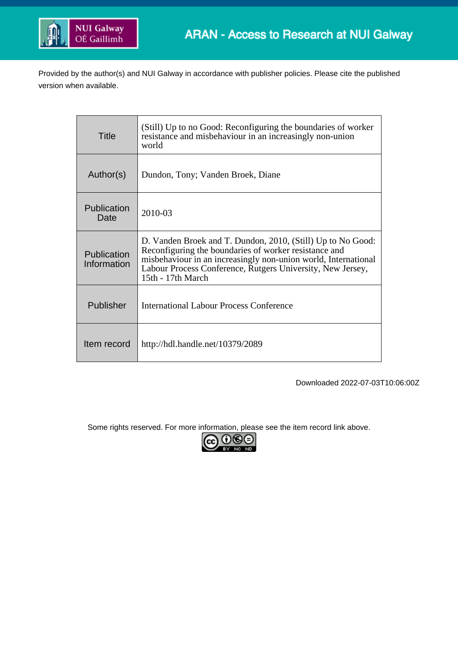

Provided by the author(s) and NUI Galway in accordance with publisher policies. Please cite the published version when available.

| Title                      | (Still) Up to no Good: Reconfiguring the boundaries of worker<br>resistance and misbehaviour in an increasingly non-union<br>world                                                                                                                                        |
|----------------------------|---------------------------------------------------------------------------------------------------------------------------------------------------------------------------------------------------------------------------------------------------------------------------|
| Author(s)                  | Dundon, Tony; Vanden Broek, Diane                                                                                                                                                                                                                                         |
| Publication<br>Date        | 2010-03                                                                                                                                                                                                                                                                   |
| Publication<br>Information | D. Vanden Broek and T. Dundon, 2010, (Still) Up to No Good:<br>Reconfiguring the boundaries of worker resistance and<br>misbehaviour in an increasingly non-union world, International<br>Labour Process Conference, Rutgers University, New Jersey,<br>15th - 17th March |
| Publisher                  | International Labour Process Conference                                                                                                                                                                                                                                   |
| Item record                | http://hdl.handle.net/10379/2089                                                                                                                                                                                                                                          |

Downloaded 2022-07-03T10:06:00Z

Some rights reserved. For more information, please see the item record link above.

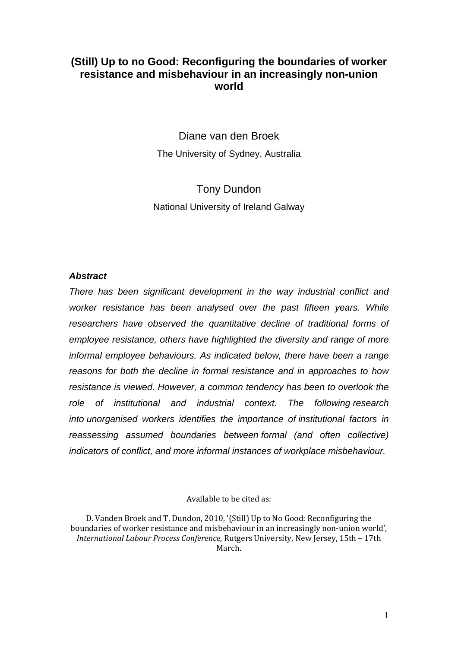## **(Still) Up to no Good: Reconfiguring the boundaries of worker resistance and misbehaviour in an increasingly non-union world**

Diane van den Broek The University of Sydney, Australia

Tony Dundon National University of Ireland Galway

## *Abstract*

*There has been significant development in the way industrial conflict and worker resistance has been analysed over the past fifteen years. While researchers have observed the quantitative decline of traditional forms of employee resistance, others have highlighted the diversity and range of more informal employee behaviours. As indicated below, there have been a range reasons for both the decline in formal resistance and in approaches to how resistance is viewed. However, a common tendency has been to overlook the role of institutional and industrial context. The following research into unorganised workers identifies the importance of institutional factors in reassessing assumed boundaries between formal (and often collective) indicators of conflict, and more informal instances of workplace misbehaviour.*

Available to be cited as:

D. Vanden Broek and T. Dundon, 2010, '(Still) Up to No Good: Reconfiguring the boundaries of worker resistance and misbehaviour in an increasingly non-union world', *International Labour Process Conference*, Rutgers University, New Jersey, 15th – 17th March.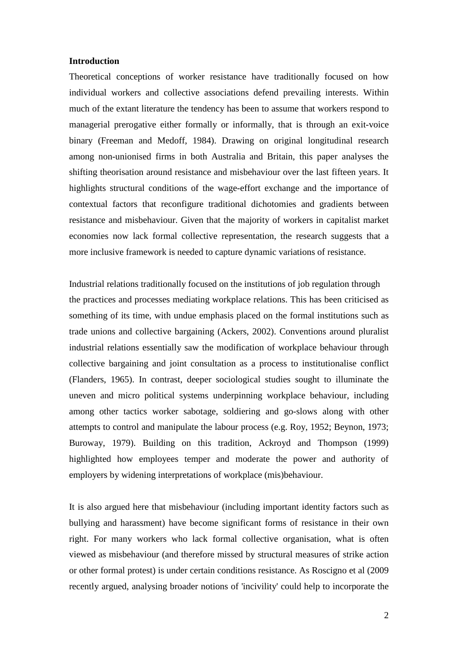### **Introduction**

Theoretical conceptions of worker resistance have traditionally focused on how individual workers and collective associations defend prevailing interests. Within much of the extant literature the tendency has been to assume that workers respond to managerial prerogative either formally or informally, that is through an exit-voice binary (Freeman and Medoff, 1984). Drawing on original longitudinal research among non-unionised firms in both Australia and Britain, this paper analyses the shifting theorisation around resistance and misbehaviour over the last fifteen years. It highlights structural conditions of the wage-effort exchange and the importance of contextual factors that reconfigure traditional dichotomies and gradients between resistance and misbehaviour. Given that the majority of workers in capitalist market economies now lack formal collective representation, the research suggests that a more inclusive framework is needed to capture dynamic variations of resistance.

Industrial relations traditionally focused on the institutions of job regulation through the practices and processes mediating workplace relations. This has been criticised as something of its time, with undue emphasis placed on the formal institutions such as trade unions and collective bargaining (Ackers, 2002). Conventions around pluralist industrial relations essentially saw the modification of workplace behaviour through collective bargaining and joint consultation as a process to institutionalise conflict (Flanders, 1965). In contrast, deeper sociological studies sought to illuminate the uneven and micro political systems underpinning workplace behaviour, including among other tactics worker sabotage, soldiering and go-slows along with other attempts to control and manipulate the labour process (e.g. Roy, 1952; Beynon, 1973; Buroway, 1979). Building on this tradition, Ackroyd and Thompson (1999) highlighted how employees temper and moderate the power and authority of employers by widening interpretations of workplace (mis)behaviour.

It is also argued here that misbehaviour (including important identity factors such as bullying and harassment) have become significant forms of resistance in their own right. For many workers who lack formal collective organisation, what is often viewed as misbehaviour (and therefore missed by structural measures of strike action or other formal protest) is under certain conditions resistance. As Roscigno et al (2009 recently argued, analysing broader notions of 'incivility' could help to incorporate the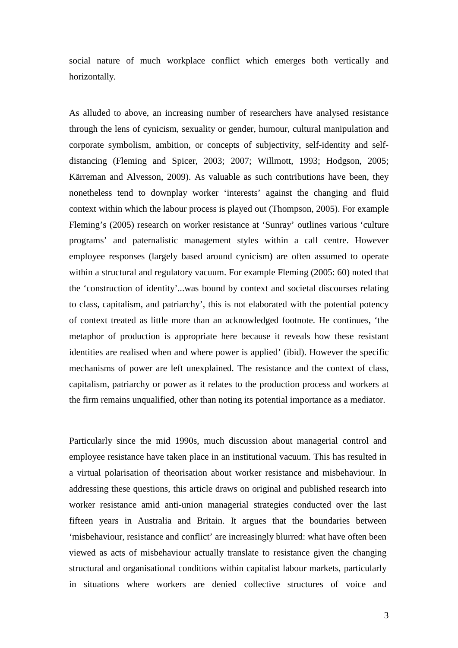social nature of much workplace conflict which emerges both vertically and horizontally*.*

As alluded to above, an increasing number of researchers have analysed resistance through the lens of cynicism, sexuality or gender, humour, cultural manipulation and corporate symbolism, ambition, or concepts of subjectivity, self-identity and selfdistancing (Fleming and Spicer, 2003; 2007; Willmott, 1993; Hodgson, 2005; Kärreman and Alvesson, 2009). As valuable as such contributions have been, they nonetheless tend to downplay worker 'interests' against the changing and fluid context within which the labour process is played out (Thompson, 2005). For example Fleming's (2005) research on worker resistance at 'Sunray' outlines various 'culture programs' and paternalistic management styles within a call centre. However employee responses (largely based around cynicism) are often assumed to operate within a structural and regulatory vacuum. For example Fleming (2005: 60) noted that the 'construction of identity'...was bound by context and societal discourses relating to class, capitalism, and patriarchy', this is not elaborated with the potential potency of context treated as little more than an acknowledged footnote. He continues, 'the metaphor of production is appropriate here because it reveals how these resistant identities are realised when and where power is applied' (ibid). However the specific mechanisms of power are left unexplained. The resistance and the context of class, capitalism, patriarchy or power as it relates to the production process and workers at the firm remains unqualified, other than noting its potential importance as a mediator.

Particularly since the mid 1990s, much discussion about managerial control and employee resistance have taken place in an institutional vacuum. This has resulted in a virtual polarisation of theorisation about worker resistance and misbehaviour. In addressing these questions, this article draws on original and published research into worker resistance amid anti-union managerial strategies conducted over the last fifteen years in Australia and Britain. It argues that the boundaries between 'misbehaviour, resistance and conflict' are increasingly blurred: what have often been viewed as acts of misbehaviour actually translate to resistance given the changing structural and organisational conditions within capitalist labour markets, particularly in situations where workers are denied collective structures of voice and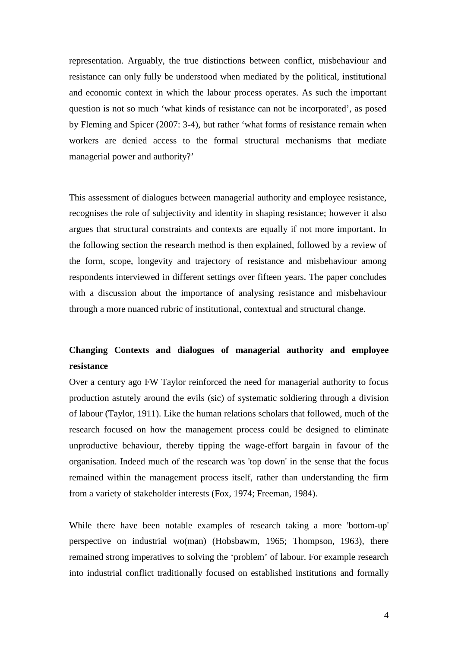representation. Arguably, the true distinctions between conflict, misbehaviour and resistance can only fully be understood when mediated by the political, institutional and economic context in which the labour process operates. As such the important question is not so much 'what kinds of resistance can not be incorporated', as posed by Fleming and Spicer (2007: 3-4), but rather 'what forms of resistance remain when workers are denied access to the formal structural mechanisms that mediate managerial power and authority?'

This assessment of dialogues between managerial authority and employee resistance, recognises the role of subjectivity and identity in shaping resistance; however it also argues that structural constraints and contexts are equally if not more important. In the following section the research method is then explained, followed by a review of the form, scope, longevity and trajectory of resistance and misbehaviour among respondents interviewed in different settings over fifteen years. The paper concludes with a discussion about the importance of analysing resistance and misbehaviour through a more nuanced rubric of institutional, contextual and structural change.

# **Changing Contexts and dialogues of managerial authority and employee resistance**

Over a century ago FW Taylor reinforced the need for managerial authority to focus production astutely around the evils (sic) of systematic soldiering through a division of labour (Taylor, 1911). Like the human relations scholars that followed, much of the research focused on how the management process could be designed to eliminate unproductive behaviour, thereby tipping the wage-effort bargain in favour of the organisation. Indeed much of the research was 'top down' in the sense that the focus remained within the management process itself, rather than understanding the firm from a variety of stakeholder interests (Fox, 1974; Freeman, 1984).

While there have been notable examples of research taking a more 'bottom-up' perspective on industrial wo(man) (Hobsbawm, 1965; Thompson, 1963), there remained strong imperatives to solving the 'problem' of labour. For example research into industrial conflict traditionally focused on established institutions and formally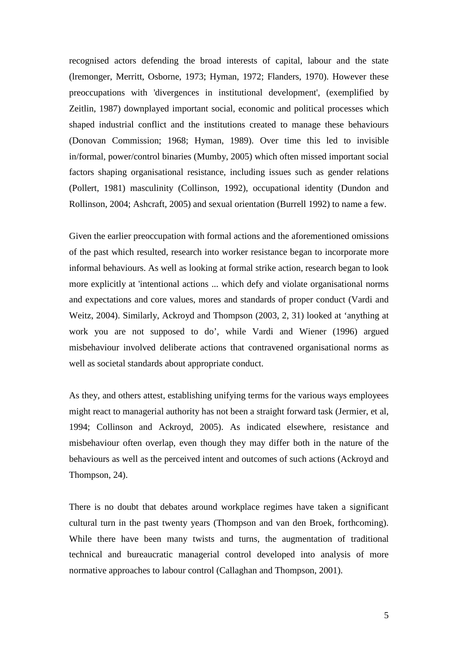recognised actors defending the broad interests of capital, labour and the state (lremonger, Merritt, Osborne, 1973; Hyman, 1972; Flanders, 1970). However these preoccupations with 'divergences in institutional development', (exemplified by Zeitlin, 1987) downplayed important social, economic and political processes which shaped industrial conflict and the institutions created to manage these behaviours (Donovan Commission; 1968; Hyman, 1989). Over time this led to invisible in/formal, power/control binaries (Mumby, 2005) which often missed important social factors shaping organisational resistance, including issues such as gender relations (Pollert, 1981) masculinity (Collinson, 1992), occupational identity (Dundon and Rollinson, 2004; Ashcraft, 2005) and sexual orientation (Burrell 1992) to name a few.

Given the earlier preoccupation with formal actions and the aforementioned omissions of the past which resulted, research into worker resistance began to incorporate more informal behaviours. As well as looking at formal strike action, research began to look more explicitly at 'intentional actions ... which defy and violate organisational norms and expectations and core values, mores and standards of proper conduct (Vardi and Weitz, 2004). Similarly, Ackroyd and Thompson (2003, 2, 31) looked at 'anything at work you are not supposed to do', while Vardi and Wiener (1996) argued misbehaviour involved deliberate actions that contravened organisational norms as well as societal standards about appropriate conduct.

As they, and others attest, establishing unifying terms for the various ways employees might react to managerial authority has not been a straight forward task (Jermier, et al, 1994; Collinson and Ackroyd, 2005). As indicated elsewhere, resistance and misbehaviour often overlap, even though they may differ both in the nature of the behaviours as well as the perceived intent and outcomes of such actions (Ackroyd and Thompson, 24).

There is no doubt that debates around workplace regimes have taken a significant cultural turn in the past twenty years (Thompson and van den Broek, forthcoming). While there have been many twists and turns, the augmentation of traditional technical and bureaucratic managerial control developed into analysis of more normative approaches to labour control (Callaghan and Thompson, 2001).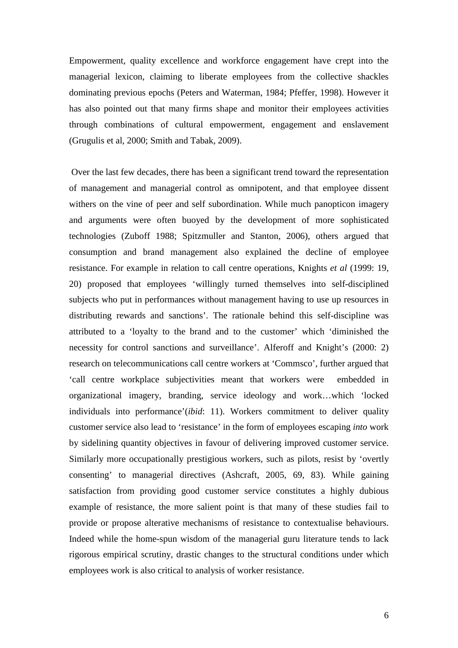Empowerment, quality excellence and workforce engagement have crept into the managerial lexicon, claiming to liberate employees from the collective shackles dominating previous epochs (Peters and Waterman, 1984; Pfeffer, 1998). However it has also pointed out that many firms shape and monitor their employees activities through combinations of cultural empowerment, engagement and enslavement (Grugulis et al, 2000; Smith and Tabak, 2009).

Over the last few decades, there has been a significant trend toward the representation of management and managerial control as omnipotent, and that employee dissent withers on the vine of peer and self subordination. While much panopticon imagery and arguments were often buoyed by the development of more sophisticated technologies (Zuboff 1988; Spitzmuller and Stanton, 2006)*,* others argued that consumption and brand management also explained the decline of employee resistance. For example in relation to call centre operations, Knights *et al* (1999: 19, 20) proposed that employees 'willingly turned themselves into self-disciplined subjects who put in performances without management having to use up resources in distributing rewards and sanctions'. The rationale behind this self-discipline was attributed to a 'loyalty to the brand and to the customer' which 'diminished the necessity for control sanctions and surveillance'. Alferoff and Knight's (2000: 2) research on telecommunications call centre workers at 'Commsco', further argued that 'call centre workplace subjectivities meant that workers were embedded in organizational imagery, branding, service ideology and work…which 'locked individuals into performance'(*ibid*: 11). Workers commitment to deliver quality customer service also lead to 'resistance' in the form of employees escaping *into* work by sidelining quantity objectives in favour of delivering improved customer service. Similarly more occupationally prestigious workers, such as pilots, resist by 'overtly consenting' to managerial directives (Ashcraft, 2005, 69, 83). While gaining satisfaction from providing good customer service constitutes a highly dubious example of resistance, the more salient point is that many of these studies fail to provide or propose alterative mechanisms of resistance to contextualise behaviours. Indeed while the home-spun wisdom of the managerial guru literature tends to lack rigorous empirical scrutiny, drastic changes to the structural conditions under which employees work is also critical to analysis of worker resistance.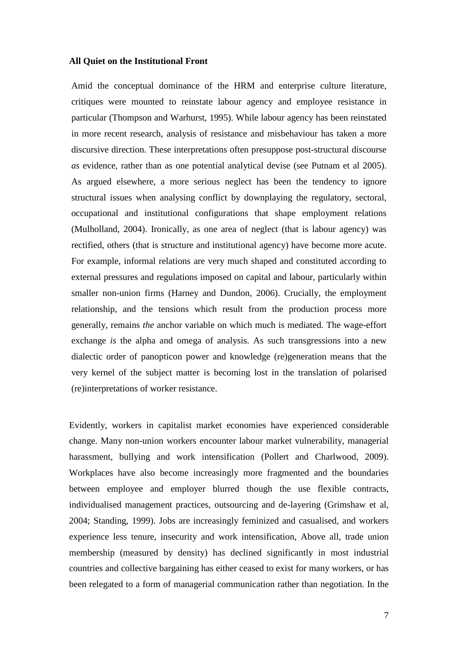### **All Quiet on the Institutional Front**

Amid the conceptual dominance of the HRM and enterprise culture literature, critiques were mounted to reinstate labour agency and employee resistance in particular (Thompson and Warhurst, 1995). While labour agency has been reinstated in more recent research, analysis of resistance and misbehaviour has taken a more discursive direction. These interpretations often presuppose post-structural discourse *as* evidence, rather than as one potential analytical devise (see Putnam et al 2005). As argued elsewhere, a more serious neglect has been the tendency to ignore structural issues when analysing conflict by downplaying the regulatory, sectoral, occupational and institutional configurations that shape employment relations (Mulholland, 2004). Ironically, as one area of neglect (that is labour agency) was rectified, others (that is structure and institutional agency) have become more acute. For example, informal relations are very much shaped and constituted according to external pressures and regulations imposed on capital and labour, particularly within smaller non-union firms (Harney and Dundon, 2006). Crucially, the employment relationship, and the tensions which result from the production process more generally, remains *the* anchor variable on which much is mediated. The wage-effort exchange *is* the alpha and omega of analysis. As such transgressions into a new dialectic order of panopticon power and knowledge (re)generation means that the very kernel of the subject matter is becoming lost in the translation of polarised (re)interpretations of worker resistance.

Evidently, workers in capitalist market economies have experienced considerable change. Many non-union workers encounter labour market vulnerability, managerial harassment, bullying and work intensification (Pollert and Charlwood, 2009). Workplaces have also become increasingly more fragmented and the boundaries between employee and employer blurred though the use flexible contracts, individualised management practices, outsourcing and de-layering (Grimshaw et al, 2004; Standing, 1999). Jobs are increasingly feminized and casualised, and workers experience less tenure, insecurity and work intensification, Above all, trade union membership (measured by density) has declined significantly in most industrial countries and collective bargaining has either ceased to exist for many workers, or has been relegated to a form of managerial communication rather than negotiation. In the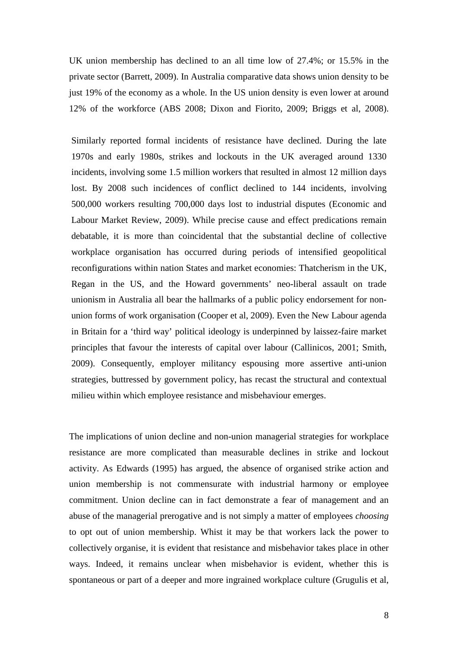UK union membership has declined to an all time low of 27.4%; or 15.5% in the private sector (Barrett, 2009). In Australia comparative data shows union density to be just 19% of the economy as a whole. In the US union density is even lower at around 12% of the workforce (ABS 2008; Dixon and Fiorito, 2009; Briggs et al, 2008).

Similarly reported formal incidents of resistance have declined. During the late 1970s and early 1980s, strikes and lockouts in the UK averaged around 1330 incidents, involving some 1.5 million workers that resulted in almost 12 million days lost. By 2008 such incidences of conflict declined to 144 incidents, involving 500,000 workers resulting 700,000 days lost to industrial disputes (Economic and Labour Market Review, 2009). While precise cause and effect predications remain debatable, it is more than coincidental that the substantial decline of collective workplace organisation has occurred during periods of intensified geopolitical reconfigurations within nation States and market economies: Thatcherism in the UK, Regan in the US, and the Howard governments' neo-liberal assault on trade unionism in Australia all bear the hallmarks of a public policy endorsement for nonunion forms of work organisation (Cooper et al, 2009). Even the New Labour agenda in Britain for a 'third way' political ideology is underpinned by laissez-faire market principles that favour the interests of capital over labour (Callinicos, 2001; Smith, 2009). Consequently, employer militancy espousing more assertive anti-union strategies, buttressed by government policy, has recast the structural and contextual milieu within which employee resistance and misbehaviour emerges.

The implications of union decline and non-union managerial strategies for workplace resistance are more complicated than measurable declines in strike and lockout activity. As Edwards (1995) has argued, the absence of organised strike action and union membership is not commensurate with industrial harmony or employee commitment. Union decline can in fact demonstrate a fear of management and an abuse of the managerial prerogative and is not simply a matter of employees *choosing* to opt out of union membership. Whist it may be that workers lack the power to collectively organise, it is evident that resistance and misbehavior takes place in other ways. Indeed, it remains unclear when misbehavior is evident, whether this is spontaneous or part of a deeper and more ingrained workplace culture (Grugulis et al,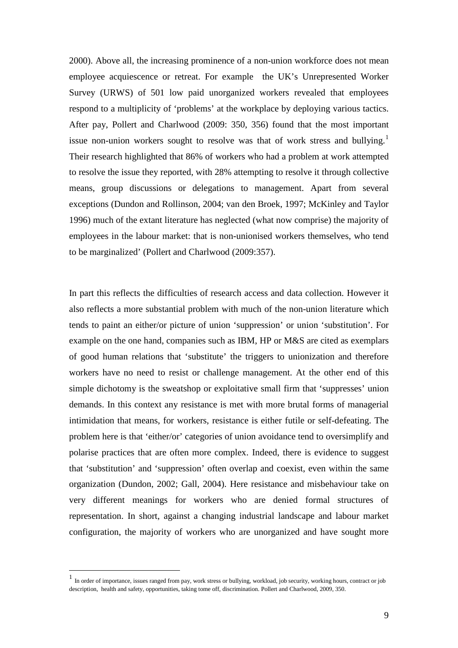2000). Above all, the increasing prominence of a non-union workforce does not mean employee acquiescence or retreat. For example the UK's Unrepresented Worker Survey (URWS) of 501 low paid unorganized workers revealed that employees respond to a multiplicity of 'problems' at the workplace by deploying various tactics. After pay, Pollert and Charlwood (2009: 350, 356) found that the most important issue non-union workers sought to resolve was that of work stress and bullying.<sup>[1](#page-9-0)</sup> Their research highlighted that 86% of workers who had a problem at work attempted to resolve the issue they reported, with 28% attempting to resolve it through collective means, group discussions or delegations to management. Apart from several exceptions (Dundon and Rollinson, 2004; van den Broek, 1997; McKinley and Taylor 1996) much of the extant literature has neglected (what now comprise) the majority of employees in the labour market: that is non-unionised workers themselves, who tend to be marginalized' (Pollert and Charlwood (2009:357).

In part this reflects the difficulties of research access and data collection. However it also reflects a more substantial problem with much of the non-union literature which tends to paint an either/or picture of union 'suppression' or union 'substitution'. For example on the one hand, companies such as IBM, HP or M&S are cited as exemplars of good human relations that 'substitute' the triggers to unionization and therefore workers have no need to resist or challenge management. At the other end of this simple dichotomy is the sweatshop or exploitative small firm that 'suppresses' union demands. In this context any resistance is met with more brutal forms of managerial intimidation that means, for workers, resistance is either futile or self-defeating. The problem here is that 'either/or' categories of union avoidance tend to oversimplify and polarise practices that are often more complex. Indeed, there is evidence to suggest that 'substitution' and 'suppression' often overlap and coexist, even within the same organization (Dundon, 2002; Gall, 2004). Here resistance and misbehaviour take on very different meanings for workers who are denied formal structures of representation. In short, against a changing industrial landscape and labour market configuration, the majority of workers who are unorganized and have sought more

<span id="page-9-0"></span> $\frac{1}{1}$ In order of importance, issues ranged from pay, work stress or bullying, workload, job security, working hours, contract or job description, health and safety, opportunities, taking tome off, discrimination. Pollert and Charlwood, 2009, 350.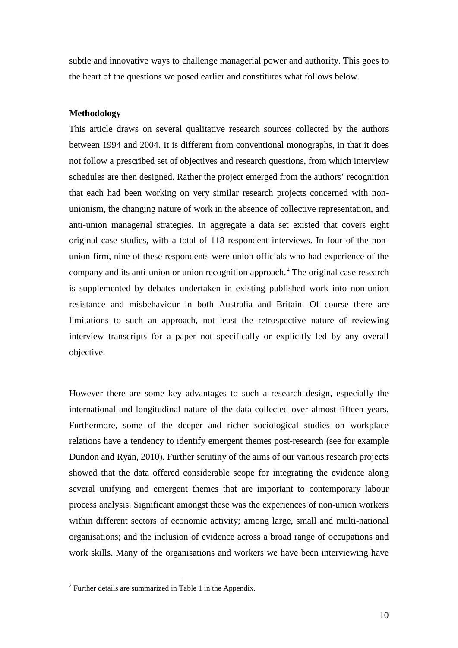subtle and innovative ways to challenge managerial power and authority. This goes to the heart of the questions we posed earlier and constitutes what follows below.

### **Methodology**

This article draws on several qualitative research sources collected by the authors between 1994 and 2004. It is different from conventional monographs, in that it does not follow a prescribed set of objectives and research questions, from which interview schedules are then designed. Rather the project emerged from the authors' recognition that each had been working on very similar research projects concerned with nonunionism, the changing nature of work in the absence of collective representation, and anti-union managerial strategies. In aggregate a data set existed that covers eight original case studies, with a total of 118 respondent interviews. In four of the nonunion firm, nine of these respondents were union officials who had experience of the company and its anti-union or union recognition approach.<sup>[2](#page-10-0)</sup> The original case research is supplemented by debates undertaken in existing published work into non-union resistance and misbehaviour in both Australia and Britain. Of course there are limitations to such an approach, not least the retrospective nature of reviewing interview transcripts for a paper not specifically or explicitly led by any overall objective.

However there are some key advantages to such a research design, especially the international and longitudinal nature of the data collected over almost fifteen years. Furthermore, some of the deeper and richer sociological studies on workplace relations have a tendency to identify emergent themes post-research (see for example Dundon and Ryan, 2010). Further scrutiny of the aims of our various research projects showed that the data offered considerable scope for integrating the evidence along several unifying and emergent themes that are important to contemporary labour process analysis. Significant amongst these was the experiences of non-union workers within different sectors of economic activity; among large, small and multi-national organisations; and the inclusion of evidence across a broad range of occupations and work skills. Many of the organisations and workers we have been interviewing have

<span id="page-10-0"></span> <sup>2</sup> Further details are summarized in Table 1 in the Appendix.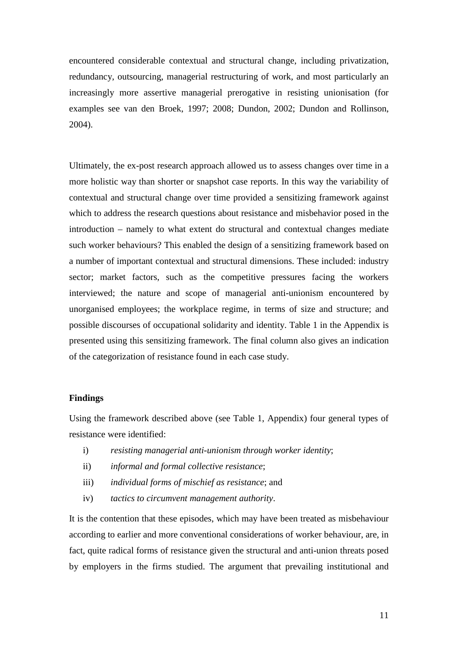encountered considerable contextual and structural change, including privatization, redundancy, outsourcing, managerial restructuring of work, and most particularly an increasingly more assertive managerial prerogative in resisting unionisation (for examples see van den Broek, 1997; 2008; Dundon, 2002; Dundon and Rollinson, 2004).

Ultimately, the ex-post research approach allowed us to assess changes over time in a more holistic way than shorter or snapshot case reports. In this way the variability of contextual and structural change over time provided a sensitizing framework against which to address the research questions about resistance and misbehavior posed in the introduction – namely to what extent do structural and contextual changes mediate such worker behaviours? This enabled the design of a sensitizing framework based on a number of important contextual and structural dimensions. These included: industry sector; market factors, such as the competitive pressures facing the workers interviewed; the nature and scope of managerial anti-unionism encountered by unorganised employees; the workplace regime, in terms of size and structure; and possible discourses of occupational solidarity and identity. Table 1 in the Appendix is presented using this sensitizing framework. The final column also gives an indication of the categorization of resistance found in each case study.

### **Findings**

Using the framework described above (see Table 1, Appendix) four general types of resistance were identified:

- i) *resisting managerial anti-unionism through worker identity*;
- ii) *informal and formal collective resistance*;
- iii) *individual forms of mischief as resistance*; and
- iv) *tactics to circumvent management authority*.

It is the contention that these episodes, which may have been treated as misbehaviour according to earlier and more conventional considerations of worker behaviour, are, in fact, quite radical forms of resistance given the structural and anti-union threats posed by employers in the firms studied. The argument that prevailing institutional and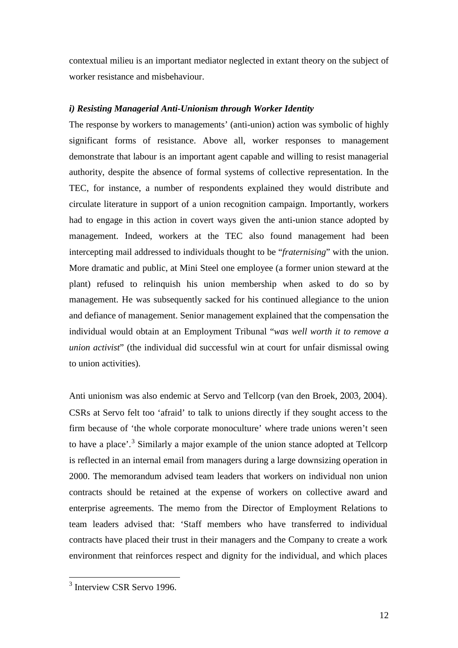contextual milieu is an important mediator neglected in extant theory on the subject of worker resistance and misbehaviour.

## *i) Resisting Managerial Anti-Unionism through Worker Identity*

The response by workers to managements' (anti-union) action was symbolic of highly significant forms of resistance. Above all, worker responses to management demonstrate that labour is an important agent capable and willing to resist managerial authority, despite the absence of formal systems of collective representation. In the TEC, for instance, a number of respondents explained they would distribute and circulate literature in support of a union recognition campaign. Importantly, workers had to engage in this action in covert ways given the anti-union stance adopted by management. Indeed, workers at the TEC also found management had been intercepting mail addressed to individuals thought to be "*fraternising*" with the union. More dramatic and public, at Mini Steel one employee (a former union steward at the plant) refused to relinquish his union membership when asked to do so by management. He was subsequently sacked for his continued allegiance to the union and defiance of management. Senior management explained that the compensation the individual would obtain at an Employment Tribunal "*was well worth it to remove a union activist*" (the individual did successful win at court for unfair dismissal owing to union activities).

Anti unionism was also endemic at Servo and Tellcorp (van den Broek, 2003, 2004). CSRs at Servo felt too 'afraid' to talk to unions directly if they sought access to the firm because of 'the whole corporate monoculture' where trade unions weren't seen to have a place'. [3](#page-12-0) Similarly a major example of the union stance adopted at Tellcorp is reflected in an internal email from managers during a large downsizing operation in 2000. The memorandum advised team leaders that workers on individual non union contracts should be retained at the expense of workers on collective award and enterprise agreements. The memo from the Director of Employment Relations to team leaders advised that: 'Staff members who have transferred to individual contracts have placed their trust in their managers and the Company to create a work environment that reinforces respect and dignity for the individual, and which places

<span id="page-12-0"></span><sup>&</sup>lt;sup>3</sup> Interview CSR Servo 1996.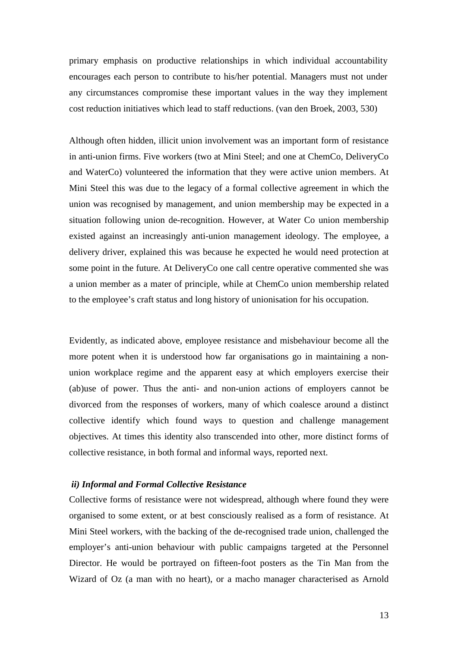primary emphasis on productive relationships in which individual accountability encourages each person to contribute to his/her potential. Managers must not under any circumstances compromise these important values in the way they implement cost reduction initiatives which lead to staff reductions. (van den Broek, 2003, 530)

Although often hidden, illicit union involvement was an important form of resistance in anti-union firms. Five workers (two at Mini Steel; and one at ChemCo, DeliveryCo and WaterCo) volunteered the information that they were active union members. At Mini Steel this was due to the legacy of a formal collective agreement in which the union was recognised by management, and union membership may be expected in a situation following union de-recognition. However, at Water Co union membership existed against an increasingly anti-union management ideology. The employee, a delivery driver, explained this was because he expected he would need protection at some point in the future. At DeliveryCo one call centre operative commented she was a union member as a mater of principle, while at ChemCo union membership related to the employee's craft status and long history of unionisation for his occupation.

Evidently, as indicated above, employee resistance and misbehaviour become all the more potent when it is understood how far organisations go in maintaining a nonunion workplace regime and the apparent easy at which employers exercise their (ab)use of power. Thus the anti- and non-union actions of employers cannot be divorced from the responses of workers, many of which coalesce around a distinct collective identify which found ways to question and challenge management objectives. At times this identity also transcended into other, more distinct forms of collective resistance, in both formal and informal ways, reported next.

### *ii) Informal and Formal Collective Resistance*

Collective forms of resistance were not widespread, although where found they were organised to some extent, or at best consciously realised as a form of resistance. At Mini Steel workers, with the backing of the de-recognised trade union, challenged the employer's anti-union behaviour with public campaigns targeted at the Personnel Director. He would be portrayed on fifteen-foot posters as the Tin Man from the Wizard of Oz (a man with no heart), or a macho manager characterised as Arnold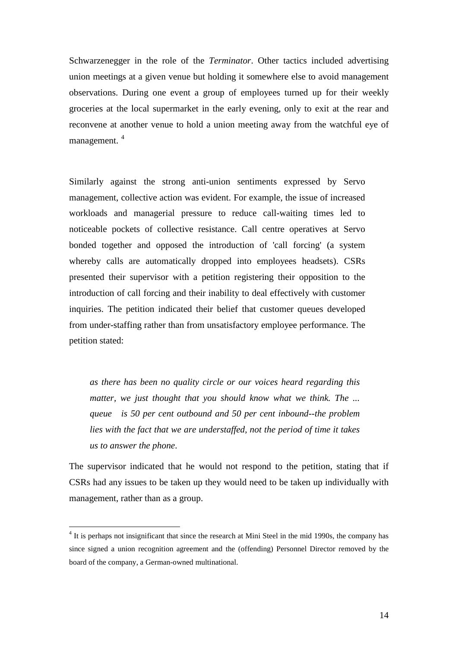Schwarzenegger in the role of the *Terminator*. Other tactics included advertising union meetings at a given venue but holding it somewhere else to avoid management observations. During one event a group of employees turned up for their weekly groceries at the local supermarket in the early evening, only to exit at the rear and reconvene at another venue to hold a union meeting away from the watchful eye of management. [4](#page-14-0)

Similarly against the strong anti-union sentiments expressed by Servo management, collective action was evident. For example, the issue of increased workloads and managerial pressure to reduce call-waiting times led to noticeable pockets of collective resistance. Call centre operatives at Servo bonded together and opposed the introduction of 'call forcing' (a system whereby calls are automatically dropped into employees headsets). CSRs presented their supervisor with a petition registering their opposition to the introduction of call forcing and their inability to deal effectively with customer inquiries. The petition indicated their belief that customer queues developed from under-staffing rather than from unsatisfactory employee performance. The petition stated:

*as there has been no quality circle or our voices heard regarding this matter, we just thought that you should know what we think. The ... queue is 50 per cent outbound and 50 per cent inbound--the problem lies with the fact that we are understaffed, not the period of time it takes us to answer the phone*.

The supervisor indicated that he would not respond to the petition, stating that if CSRs had any issues to be taken up they would need to be taken up individually with management, rather than as a group.

<span id="page-14-0"></span> <sup>4</sup> It is perhaps not insignificant that since the research at Mini Steel in the mid 1990s, the company has since signed a union recognition agreement and the (offending) Personnel Director removed by the board of the company, a German-owned multinational.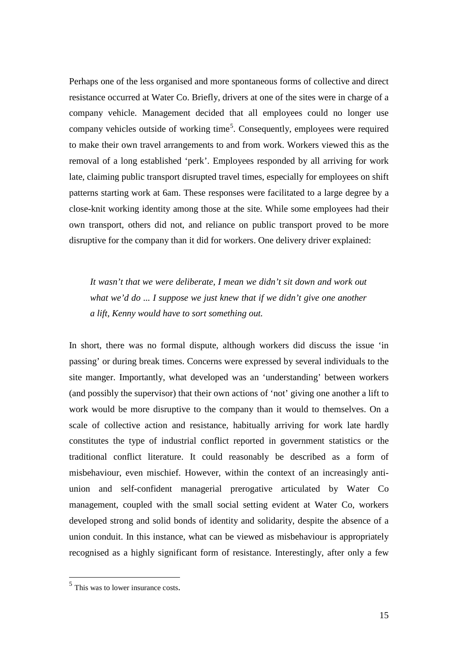Perhaps one of the less organised and more spontaneous forms of collective and direct resistance occurred at Water Co. Briefly, drivers at one of the sites were in charge of a company vehicle. Management decided that all employees could no longer use company vehicles outside of working time<sup>[5](#page-15-0)</sup>. Consequently, employees were required to make their own travel arrangements to and from work. Workers viewed this as the removal of a long established 'perk'. Employees responded by all arriving for work late, claiming public transport disrupted travel times, especially for employees on shift patterns starting work at 6am. These responses were facilitated to a large degree by a close-knit working identity among those at the site. While some employees had their own transport, others did not, and reliance on public transport proved to be more disruptive for the company than it did for workers. One delivery driver explained:

*It wasn't that we were deliberate, I mean we didn't sit down and work out what we'd do ... I suppose we just knew that if we didn't give one another a lift, Kenny would have to sort something out.*

In short, there was no formal dispute, although workers did discuss the issue 'in passing' or during break times. Concerns were expressed by several individuals to the site manger. Importantly, what developed was an 'understanding' between workers (and possibly the supervisor) that their own actions of 'not' giving one another a lift to work would be more disruptive to the company than it would to themselves. On a scale of collective action and resistance, habitually arriving for work late hardly constitutes the type of industrial conflict reported in government statistics or the traditional conflict literature. It could reasonably be described as a form of misbehaviour, even mischief. However, within the context of an increasingly antiunion and self-confident managerial prerogative articulated by Water Co management, coupled with the small social setting evident at Water Co, workers developed strong and solid bonds of identity and solidarity, despite the absence of a union conduit. In this instance, what can be viewed as misbehaviour is appropriately recognised as a highly significant form of resistance. Interestingly, after only a few

<span id="page-15-0"></span><sup>&</sup>lt;sup>5</sup> This was to lower insurance costs.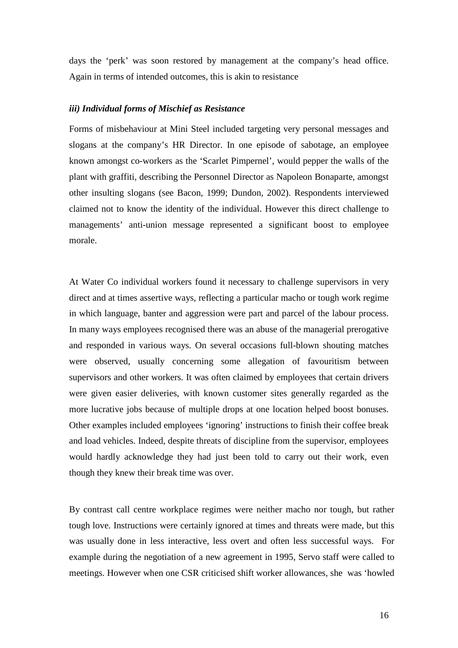days the 'perk' was soon restored by management at the company's head office. Again in terms of intended outcomes, this is akin to resistance

### *iii) Individual forms of Mischief as Resistance*

Forms of misbehaviour at Mini Steel included targeting very personal messages and slogans at the company's HR Director. In one episode of sabotage, an employee known amongst co-workers as the 'Scarlet Pimpernel', would pepper the walls of the plant with graffiti, describing the Personnel Director as Napoleon Bonaparte, amongst other insulting slogans (see Bacon, 1999; Dundon, 2002). Respondents interviewed claimed not to know the identity of the individual. However this direct challenge to managements' anti-union message represented a significant boost to employee morale.

At Water Co individual workers found it necessary to challenge supervisors in very direct and at times assertive ways, reflecting a particular macho or tough work regime in which language, banter and aggression were part and parcel of the labour process. In many ways employees recognised there was an abuse of the managerial prerogative and responded in various ways. On several occasions full-blown shouting matches were observed, usually concerning some allegation of favouritism between supervisors and other workers. It was often claimed by employees that certain drivers were given easier deliveries, with known customer sites generally regarded as the more lucrative jobs because of multiple drops at one location helped boost bonuses. Other examples included employees 'ignoring' instructions to finish their coffee break and load vehicles. Indeed, despite threats of discipline from the supervisor, employees would hardly acknowledge they had just been told to carry out their work, even though they knew their break time was over.

By contrast call centre workplace regimes were neither macho nor tough, but rather tough love. Instructions were certainly ignored at times and threats were made, but this was usually done in less interactive, less overt and often less successful ways. For example during the negotiation of a new agreement in 1995, Servo staff were called to meetings. However when one CSR criticised shift worker allowances, she was 'howled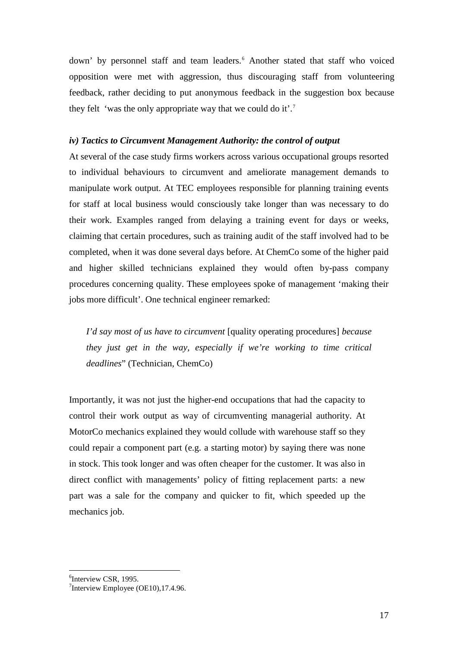down' by personnel staff and team leaders.<sup>[6](#page-17-0)</sup> Another stated that staff who voiced opposition were met with aggression, thus discouraging staff from volunteering feedback, rather deciding to put anonymous feedback in the suggestion box because they felt 'was the only appropriate way that we could do it'.<sup>[7](#page-17-1)</sup>

#### *iv) Tactics to Circumvent Management Authority: the control of output*

At several of the case study firms workers across various occupational groups resorted to individual behaviours to circumvent and ameliorate management demands to manipulate work output. At TEC employees responsible for planning training events for staff at local business would consciously take longer than was necessary to do their work. Examples ranged from delaying a training event for days or weeks, claiming that certain procedures, such as training audit of the staff involved had to be completed, when it was done several days before. At ChemCo some of the higher paid and higher skilled technicians explained they would often by-pass company procedures concerning quality. These employees spoke of management 'making their jobs more difficult'. One technical engineer remarked:

*I'd say most of us have to circumvent* [quality operating procedures] *because they just get in the way, especially if we're working to time critical deadlines*" (Technician, ChemCo)

Importantly, it was not just the higher-end occupations that had the capacity to control their work output as way of circumventing managerial authority. At MotorCo mechanics explained they would collude with warehouse staff so they could repair a component part (e.g. a starting motor) by saying there was none in stock. This took longer and was often cheaper for the customer. It was also in direct conflict with managements' policy of fitting replacement parts: a new part was a sale for the company and quicker to fit, which speeded up the mechanics job.

<span id="page-17-0"></span> <sup>6</sup>  $<sup>6</sup>$ Interview CSR, 1995.</sup>

<span id="page-17-1"></span><sup>&</sup>lt;sup>7</sup>Interview Employee (OE10), 17.4.96.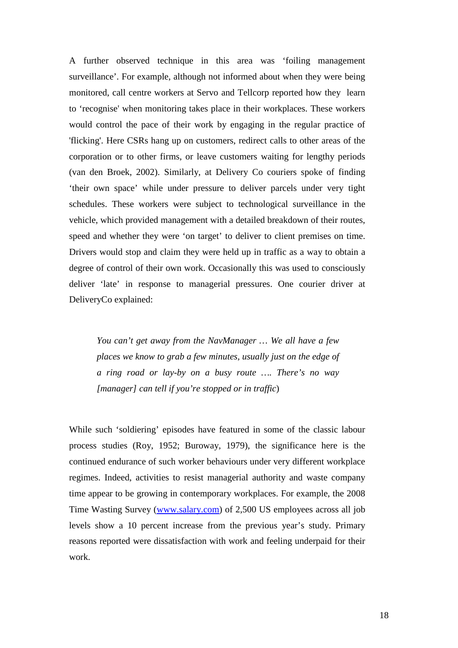A further observed technique in this area was 'foiling management surveillance'. For example, although not informed about when they were being monitored, call centre workers at Servo and Tellcorp reported how they learn to 'recognise' when monitoring takes place in their workplaces. These workers would control the pace of their work by engaging in the regular practice of 'flicking'. Here CSRs hang up on customers, redirect calls to other areas of the corporation or to other firms, or leave customers waiting for lengthy periods (van den Broek, 2002). Similarly, at Delivery Co couriers spoke of finding 'their own space' while under pressure to deliver parcels under very tight schedules. These workers were subject to technological surveillance in the vehicle, which provided management with a detailed breakdown of their routes, speed and whether they were 'on target' to deliver to client premises on time. Drivers would stop and claim they were held up in traffic as a way to obtain a degree of control of their own work. Occasionally this was used to consciously deliver 'late' in response to managerial pressures. One courier driver at DeliveryCo explained:

*You can't get away from the NavManager … We all have a few places we know to grab a few minutes, usually just on the edge of a ring road or lay-by on a busy route …. There's no way [manager] can tell if you're stopped or in traffic*)

While such 'soldiering' episodes have featured in some of the classic labour process studies (Roy, 1952; Buroway, 1979), the significance here is the continued endurance of such worker behaviours under very different workplace regimes. Indeed, activities to resist managerial authority and waste company time appear to be growing in contemporary workplaces. For example, the 2008 Time Wasting Survey [\(www.salary.com\)](http://www.salary.com/) of 2,500 US employees across all job levels show a 10 percent increase from the previous year's study. Primary reasons reported were dissatisfaction with work and feeling underpaid for their work.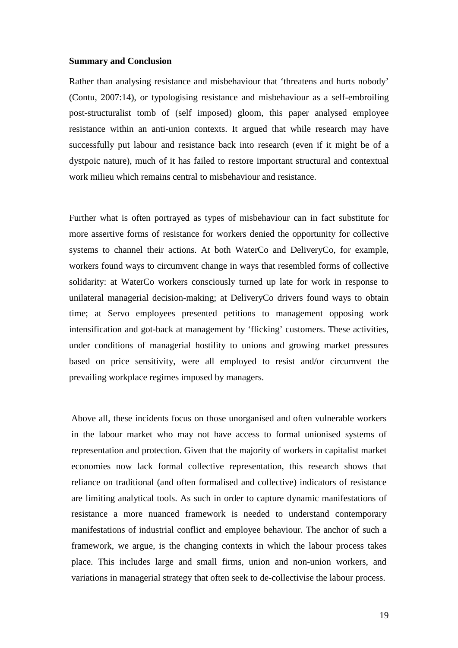#### **Summary and Conclusion**

Rather than analysing resistance and misbehaviour that 'threatens and hurts nobody' (Contu, 2007:14), or typologising resistance and misbehaviour as a self-embroiling post-structuralist tomb of (self imposed) gloom, this paper analysed employee resistance within an anti-union contexts. It argued that while research may have successfully put labour and resistance back into research (even if it might be of a dystpoic nature), much of it has failed to restore important structural and contextual work milieu which remains central to misbehaviour and resistance.

Further what is often portrayed as types of misbehaviour can in fact substitute for more assertive forms of resistance for workers denied the opportunity for collective systems to channel their actions. At both WaterCo and DeliveryCo, for example, workers found ways to circumvent change in ways that resembled forms of collective solidarity: at WaterCo workers consciously turned up late for work in response to unilateral managerial decision-making; at DeliveryCo drivers found ways to obtain time; at Servo employees presented petitions to management opposing work intensification and got-back at management by 'flicking' customers. These activities, under conditions of managerial hostility to unions and growing market pressures based on price sensitivity, were all employed to resist and/or circumvent the prevailing workplace regimes imposed by managers.

Above all, these incidents focus on those unorganised and often vulnerable workers in the labour market who may not have access to formal unionised systems of representation and protection. Given that the majority of workers in capitalist market economies now lack formal collective representation, this research shows that reliance on traditional (and often formalised and collective) indicators of resistance are limiting analytical tools. As such in order to capture dynamic manifestations of resistance a more nuanced framework is needed to understand contemporary manifestations of industrial conflict and employee behaviour. The anchor of such a framework, we argue, is the changing contexts in which the labour process takes place. This includes large and small firms, union and non-union workers, and variations in managerial strategy that often seek to de-collectivise the labour process.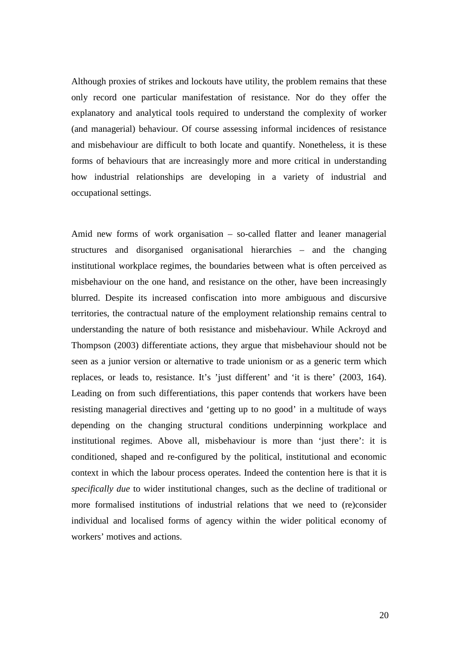Although proxies of strikes and lockouts have utility, the problem remains that these only record one particular manifestation of resistance. Nor do they offer the explanatory and analytical tools required to understand the complexity of worker (and managerial) behaviour. Of course assessing informal incidences of resistance and misbehaviour are difficult to both locate and quantify. Nonetheless, it is these forms of behaviours that are increasingly more and more critical in understanding how industrial relationships are developing in a variety of industrial and occupational settings.

Amid new forms of work organisation – so-called flatter and leaner managerial structures and disorganised organisational hierarchies – and the changing institutional workplace regimes, the boundaries between what is often perceived as misbehaviour on the one hand, and resistance on the other, have been increasingly blurred. Despite its increased confiscation into more ambiguous and discursive territories, the contractual nature of the employment relationship remains central to understanding the nature of both resistance and misbehaviour. While Ackroyd and Thompson (2003) differentiate actions, they argue that misbehaviour should not be seen as a junior version or alternative to trade unionism or as a generic term which replaces, or leads to, resistance. It's 'just different' and 'it is there' (2003, 164). Leading on from such differentiations, this paper contends that workers have been resisting managerial directives and 'getting up to no good' in a multitude of ways depending on the changing structural conditions underpinning workplace and institutional regimes. Above all, misbehaviour is more than 'just there': it is conditioned, shaped and re-configured by the political, institutional and economic context in which the labour process operates. Indeed the contention here is that it is *specifically due* to wider institutional changes, such as the decline of traditional or more formalised institutions of industrial relations that we need to (re)consider individual and localised forms of agency within the wider political economy of workers' motives and actions.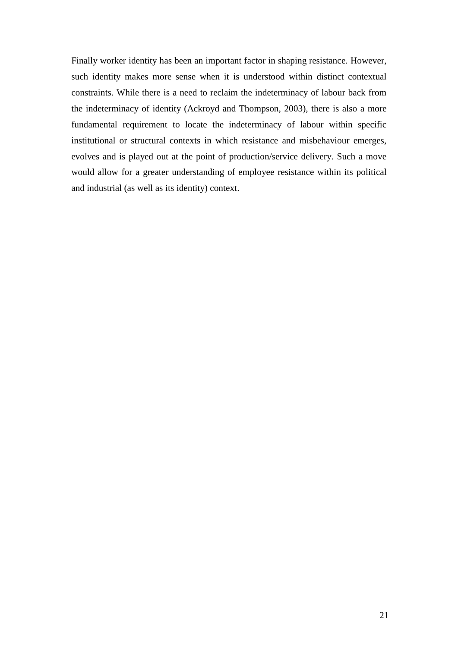Finally worker identity has been an important factor in shaping resistance. However, such identity makes more sense when it is understood within distinct contextual constraints. While there is a need to reclaim the indeterminacy of labour back from the indeterminacy of identity (Ackroyd and Thompson, 2003), there is also a more fundamental requirement to locate the indeterminacy of labour within specific institutional or structural contexts in which resistance and misbehaviour emerges, evolves and is played out at the point of production/service delivery. Such a move would allow for a greater understanding of employee resistance within its political and industrial (as well as its identity) context.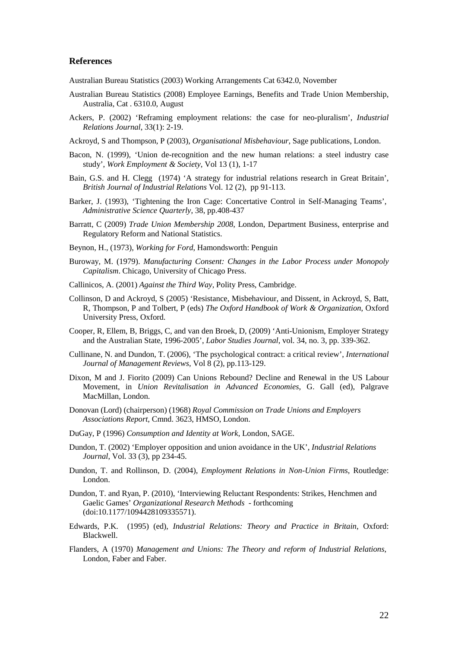### **References**

Australian Bureau Statistics (2003) Working Arrangements Cat 6342.0, November

- Australian Bureau Statistics (2008) Employee Earnings, Benefits and Trade Union Membership, Australia, Cat . 6310.0, August
- Ackers, P. (2002) 'Reframing employment relations: the case for neo-pluralism', *Industrial Relations Journal*, 33(1): 2-19.
- Ackroyd, S and Thompson, P (2003), *Organisational Misbehaviour*, Sage publications, London.
- Bacon, N. (1999), 'Union de-recognition and the new human relations: a steel industry case study', *Work Employment & Society*, Vol 13 (1), 1-17
- Bain, G.S. and H. Clegg (1974) 'A strategy for industrial relations research in Great Britain', *British Journal of Industrial Relations* Vol. 12 (2), pp 91-113.
- Barker, J. (1993), 'Tightening the Iron Cage: Concertative Control in Self-Managing Teams', *Administrative Science Quarterly*, 38, pp.408-437
- Barratt, C (2009) *Trade Union Membership 2008*, London, Department Business, enterprise and Regulatory Reform and National Statistics.
- Beynon, H., (1973), *Working for Ford*, Hamondsworth: Penguin
- Buroway, M. (1979). *Manufacturing Consent: Changes in the Labor Process under Monopoly Capitalism*. Chicago, University of Chicago Press.
- Callinicos, A. (2001) *Against the Third Way*, Polity Press, Cambridge.
- Collinson, D and Ackroyd, S (2005) 'Resistance, Misbehaviour, and Dissent, in Ackroyd, S, Batt, R, Thompson, P and Tolbert, P (eds) *The Oxford Handbook of Work & Organization*, Oxford University Press, Oxford.
- Cooper, R, Ellem, B, Briggs, C, and van den Broek, D, (2009) 'Anti-Unionism, Employer Strategy and the Australian State, 1996-2005', *Labor Studies Journal*, vol. 34, no. 3, pp. 339-362.
- Cullinane, N. and Dundon, T. (2006), 'The psychological contract: a critical review', *International Journal of Management Reviews*, Vol 8 (2), pp.113-129.
- Dixon, M and J. Fiorito (2009) Can Unions Rebound? Decline and Renewal in the US Labour Movement, in *Union Revitalisation in Advanced Economies*, G. Gall (ed), Palgrave MacMillan, London.
- Donovan (Lord) (chairperson) (1968) *Royal Commission on Trade Unions and Employers Associations Report*, Cmnd. 3623, HMSO, London.
- DuGay, P (1996) *Consumption and Identity at Work*, London, SAGE.
- Dundon, T. (2002) 'Employer opposition and union avoidance in the UK', *Industrial Relations Journal*, Vol. 33 (3), pp 234-45.
- Dundon, T. and Rollinson, D. (2004), *Employment Relations in Non-Union Firms*, Routledge: London.
- Dundon, T. and Ryan, P. (2010), 'Interviewing Reluctant Respondents: Strikes, Henchmen and Gaelic Games' *Organizational Research Methods* - forthcoming (doi:10.1177/1094428109335571).
- Edwards, P.K. (1995) (ed), *Industrial Relations: Theory and Practice in Britain*, Oxford: Blackwell.
- Flanders, A (1970) *Management and Unions: The Theory and reform of Industrial Relations*, London, Faber and Faber.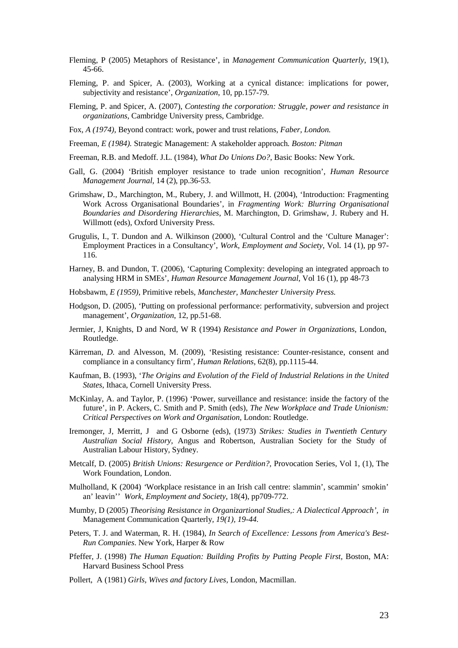- Fleming, P (2005) Metaphors of Resistance', in *Management Communication Quarterly*, 19(1), 45-66.
- Fleming, P. and Spicer, A. (2003), Working at a cynical distance: implications for power, subjectivity and resistance', *Organization*, 10, pp.157-79.
- Fleming, P. and Spicer, A. (2007), *Contesting the corporation: Struggle, power and resistance in organizations*, Cambridge University press, Cambridge.
- Fox*, A (1974),* Beyond contract: work, power and trust relations*, Faber, London.*
- Freeman*, E (1984).* Strategic Management: A stakeholder approach*. Boston: Pitman*
- Freeman, R.B. and Medoff. J.L. (1984), *What Do Unions Do?*, Basic Books: New York.
- Gall, G. (2004) 'British employer resistance to trade union recognition', *Human Resource Management Journal*, 14 (2), pp.36-53.
- Grimshaw, D., Marchington, M., Rubery, J. and Willmott, H. (2004), 'Introduction: Fragmenting Work Across Organisational Boundaries', in *Fragmenting Work: Blurring Organisational Boundaries and Disordering Hierarchies*, M. Marchington, D. Grimshaw, J. Rubery and H. Willmott (eds), Oxford University Press.
- Grugulis, I., T. Dundon and A. Wilkinson (2000), 'Cultural Control and the 'Culture Manager': Employment Practices in a Consultancy', *Work, Employment and Society*, Vol. 14 (1), pp 97- 116.
- Harney, B. and Dundon, T. (2006), 'Capturing Complexity: developing an integrated approach to analysing HRM in SMEs', *Human Resource Management Journal*, Vol 16 (1), pp 48-73
- Hobsbawm*, E (1959),* Primitive rebels*, Manchester, Manchester University Press.*
- Hodgson, D. (2005), 'Putting on professional performance: performativity, subversion and project management', *Organization*, 12, pp.51-68.
- Jermier, J, Knights, D and Nord, W R (1994) *Resistance and Power in Organizations*, London, Routledge.
- Kärreman*, D.* and Alvesson, M. (2009), 'Resisting resistance: Counter-resistance, consent and compliance in a consultancy firm', *Human Relations*, 62(8), pp.1115-44.
- Kaufman, B. (1993), '*The Origins and Evolution of the Field of Industrial Relations in the United States*, Ithaca, Cornell University Press.
- McKinlay, A. and Taylor, P. (1996) 'Power, surveillance and resistance: inside the factory of the future', in P. Ackers, C. Smith and P. Smith (eds), *The New Workplace and Trade Unionism: Critical Perspectives on Work and Organisation*, London: Routledge.
- Iremonger, J, Merritt, J and G Osborne (eds), (1973) *Strikes: Studies in Twentieth Century Australian Social History*, Angus and Robertson, Australian Society for the Study of Australian Labour History, Sydney.
- Metcalf, D. (2005) *British Unions: Resurgence or Perdition?,* Provocation Series, Vol 1, (1), The Work Foundation, London.
- Mulholland, K (2004) *'*Workplace resistance in an Irish call centre: slammin', scammin' smokin' an' leavin'' *Work, Employment and Society*, 18(4), pp709-772.
- Mumby, D (2005) *Theorising Resistance in Organizartional Studies,: A Dialectical Approach', in*  Management Communication Quarterly*, 19(1), 19-44.*
- Peters, T. J. and Waterman, R. H. (1984), *In Search of Excellence: Lessons from America's Best-Run Companies*. New York, Harper & Row
- Pfeffer, J. (1998) *The Human Equation: Building Profits by Putting People First,* Boston, MA: Harvard Business School Press
- Pollert, A (1981) *Girls, Wives and factory Lives*, London, Macmillan.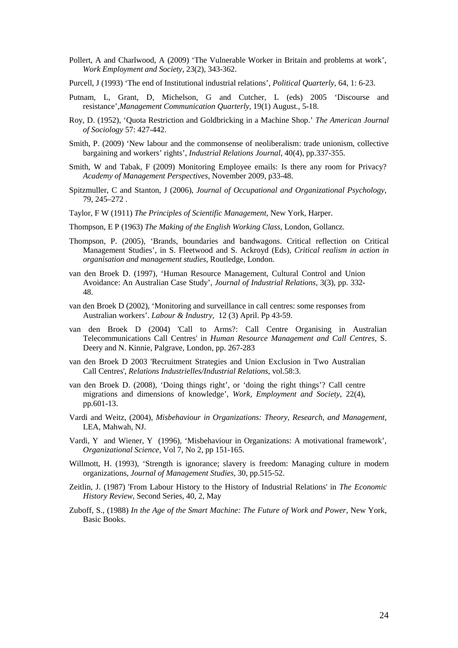- Pollert, A and Charlwood, A (2009) 'The Vulnerable Worker in Britain and problems at work', *Work Employment and Society*, 23(2), 343-362.
- Purcell, J (1993) 'The end of Institutional industrial relations', *Political Quarterly*, 64, 1: 6-23.
- Putnam, L, Grant, D, Michelson, G and Cutcher, L (eds) 2005 'Discourse and resistance',*Management Communication Quarterly*, 19(1) August., 5-18.
- Roy, D. (1952), 'Quota Restriction and Goldbricking in a Machine Shop.' *The American Journal of Sociology* 57: 427-442.
- Smith, P. (2009) 'New labour and the commonsense of neoliberalism: trade unionism, collective bargaining and workers' rights', *Industrial Relations Journal*, 40(4), pp.337-355.
- Smith, W and Tabak, F (2009) Monitoring Employee emails: Is there any room for Privacy? *Academy of Management Perspectives*, November 2009, p33-48.
- Spitzmuller, C and Stanton, J (2006), *Journal of Occupational and Organizational Psychology*, 79, 245–272 .
- Taylor, F W (1911) *The Principles of Scientific Management*, New York, Harper.
- Thompson, E P (1963) *The Making of the English Working Class*, London, Gollancz.
- Thompson, P. (2005), 'Brands, boundaries and bandwagons. Critical reflection on Critical Management Studies', in S. Fleetwood and S. Ackroyd (Eds), *Critical realism in action in organisation and management studies*, Routledge, London.
- van den Broek D. (1997), 'Human Resource Management, Cultural Control and Union Avoidance: An Australian Case Study', *Journal of Industrial Relations*, 3(3), pp. 332- 48.
- van den Broek D (2002), 'Monitoring and surveillance in call centres: some responses from Australian workers'. *Labour & Industry,* 12 (3) April. Pp 43-59.
- van den Broek D (2004) 'Call to Arms?: Call Centre Organising in Australian Telecommunications Call Centres' in *Human Resource Management and Call Centres*, S. Deery and N. Kinnie, Palgrave, London, pp. 267-283
- van den Broek D 2003 'Recruitment Strategies and Union Exclusion in Two Australian Call Centres', *Relations Industrielles/Industrial Relations*, vol.58:3.
- van den Broek D. (2008), 'Doing things right', or 'doing the right things'? Call centre migrations and dimensions of knowledge', *Work, Employment and Society*, 22(4), pp.601-13.
- Vardi and Weitz, (2004), *Misbehaviour in Organizations: Theory, Research, and Management*, LEA, Mahwah, NJ.
- Vardi, Y and Wiener, Y (1996), 'Misbehaviour in Organizations: A motivational framework', *Organizational Science*, Vol 7, No 2, pp 151-165.
- Willmott, H. (1993), 'Strength is ignorance; slavery is freedom: Managing culture in modern organizations, *Journal of Management Studies*, 30, pp.515-52.
- Zeitlin, J. (1987) 'From Labour History to the History of Industrial Relations' in *The Economic History Review*, Second Series, 40, 2, May
- Zuboff, S., (1988) *In the Age of the Smart Machine: The Future of Work and Power*, New York, Basic Books.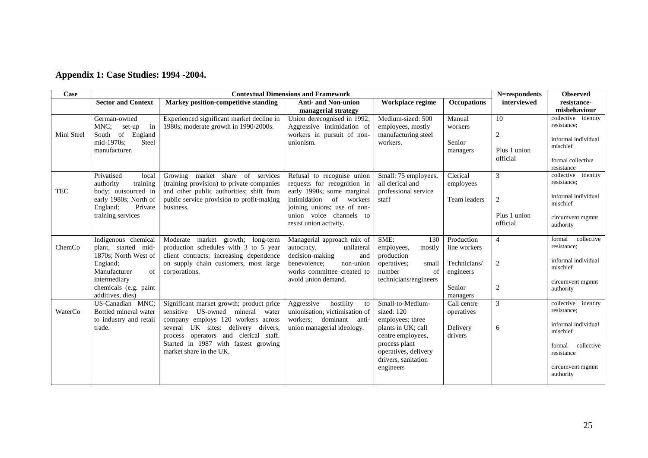# **Appendix 1: Case Studies: 1994 -2004.**

| Case       | <b>Contextual Dimensions and Framework</b>   |                                                                                                                                                                                             |                                                             |                                                                                  |                            |                  | <b>Observed</b>                                                        |
|------------|----------------------------------------------|---------------------------------------------------------------------------------------------------------------------------------------------------------------------------------------------|-------------------------------------------------------------|----------------------------------------------------------------------------------|----------------------------|------------------|------------------------------------------------------------------------|
|            | <b>Sector and Context</b>                    | Markey position-competitive standing                                                                                                                                                        | <b>Anti- and Non-union</b>                                  | Workplace regime                                                                 | <b>Occupations</b>         | interviewed      | resistance-                                                            |
|            |                                              |                                                                                                                                                                                             | managerial strategy                                         |                                                                                  |                            |                  | misbehaviour                                                           |
|            | German-owned                                 | Experienced significant market decline in                                                                                                                                                   | Union derecognised in 1992;                                 | Medium-sized: 500                                                                | Manual                     | 10               | collective identity<br>resistance;                                     |
| Mini Steel | MNC;<br>set-up<br>in<br>South of England     | 1980s; moderate growth in 1990/2000s.                                                                                                                                                       | Aggressive intimidation of<br>workers in pursuit of non-    | employees, mostly<br>manufacturing steel                                         | workers                    | $\boldsymbol{2}$ |                                                                        |
|            | mid-1970s;<br>Steel                          |                                                                                                                                                                                             | unionism.                                                   | workers.                                                                         | Senior                     |                  | informal individual                                                    |
|            | manufacturer.                                |                                                                                                                                                                                             |                                                             |                                                                                  | managers                   | Plus 1 union     | mischief                                                               |
|            |                                              |                                                                                                                                                                                             |                                                             |                                                                                  |                            | official         | formal collective                                                      |
|            |                                              |                                                                                                                                                                                             |                                                             |                                                                                  |                            |                  | resistance                                                             |
|            | Privatised<br>local                          | Growing market share of services                                                                                                                                                            | Refusal to recognise union                                  | Small: 75 employees,                                                             | Clerical                   | 3                | collective<br>identity                                                 |
|            | authority<br>training                        | (training provision) to private companies                                                                                                                                                   | requests for recognition in                                 | all clerical and                                                                 | employees                  |                  | resistance;                                                            |
| <b>TEC</b> | body; outsourced in<br>early 1980s; North of | and other public authorities; shift from<br>public service provision to profit-making                                                                                                       | early 1990s; some marginal<br>intimidation<br>of workers    | professional service<br>staff                                                    | Team leaders               | 2                | informal individual                                                    |
|            | England;<br>Private                          | business.                                                                                                                                                                                   | joining unions; use of non-                                 |                                                                                  |                            |                  | mischief                                                               |
|            | training services                            |                                                                                                                                                                                             | union voice channels to                                     |                                                                                  |                            | Plus 1 union     | circumvent mgmnt                                                       |
|            |                                              |                                                                                                                                                                                             | resist union activity.                                      |                                                                                  |                            | official         | authority                                                              |
|            |                                              |                                                                                                                                                                                             |                                                             |                                                                                  |                            |                  | collective                                                             |
| ChemCo     | Indigenous chemical<br>plant, started mid-   | Moderate market growth; long-term<br>production schedules with 3 to 5 year                                                                                                                  | Managerial approach mix of<br>unilateral<br>autocracy,      | SME:<br>130<br>employees,<br>mostly                                              | Production<br>line workers | $\overline{4}$   | formal<br>resistance;                                                  |
|            | 1870s; North West of                         | client contracts; increasing dependence                                                                                                                                                     | decision-making<br>and                                      | production                                                                       |                            |                  |                                                                        |
|            | England:                                     | on supply chain customers, most large                                                                                                                                                       | benevolence;<br>non-union                                   | operatives:<br>small                                                             | Technicians/               | $\mathfrak{2}$   | informal individual<br>mischief                                        |
|            | Manufacturer<br>of                           | corporations.                                                                                                                                                                               | works committee created to                                  | number<br>of                                                                     | engineers                  |                  |                                                                        |
|            | intermediary                                 |                                                                                                                                                                                             | avoid union demand.                                         | technicians/engineers                                                            |                            |                  | circumvent mgmnt                                                       |
|            | chemicals (e.g. paint<br>additives, dies)    |                                                                                                                                                                                             |                                                             |                                                                                  | Senior<br>managers         | $\sqrt{2}$       | authority                                                              |
|            | US-Canadian MNC;                             |                                                                                                                                                                                             |                                                             | Small-to-Medium-                                                                 | Call centre                | 3                | collective<br>identity                                                 |
| WaterCo    | Bottled mineral water                        | sensitive US-owned<br>mineral<br>water                                                                                                                                                      | unionisation; victimisation of                              | sized: 120                                                                       | operatives                 |                  | resistance;                                                            |
|            | to industry and retail                       | company employs 120 workers across                                                                                                                                                          | workers;<br>dominant anti-                                  | employees; three                                                                 |                            |                  |                                                                        |
|            |                                              |                                                                                                                                                                                             |                                                             |                                                                                  |                            | 6                | mischief                                                               |
|            |                                              |                                                                                                                                                                                             |                                                             |                                                                                  |                            |                  |                                                                        |
|            |                                              |                                                                                                                                                                                             |                                                             |                                                                                  |                            |                  |                                                                        |
|            |                                              |                                                                                                                                                                                             |                                                             | drivers, sanitation                                                              |                            |                  |                                                                        |
|            |                                              |                                                                                                                                                                                             |                                                             | engineers                                                                        |                            |                  | circumvent mgmnt                                                       |
|            |                                              |                                                                                                                                                                                             |                                                             |                                                                                  |                            |                  |                                                                        |
|            | trade.                                       | Significant market growth; product price<br>several UK sites: delivery drivers,<br>process operators and clerical staff.<br>Started in 1987 with fastest growing<br>market share in the UK. | hostility<br>Aggressive<br>to<br>union managerial ideology. | plants in UK; call<br>centre employees,<br>process plant<br>operatives, delivery | Delivery<br>drivers        |                  | informal individual<br>collective<br>formal<br>resistance<br>authority |